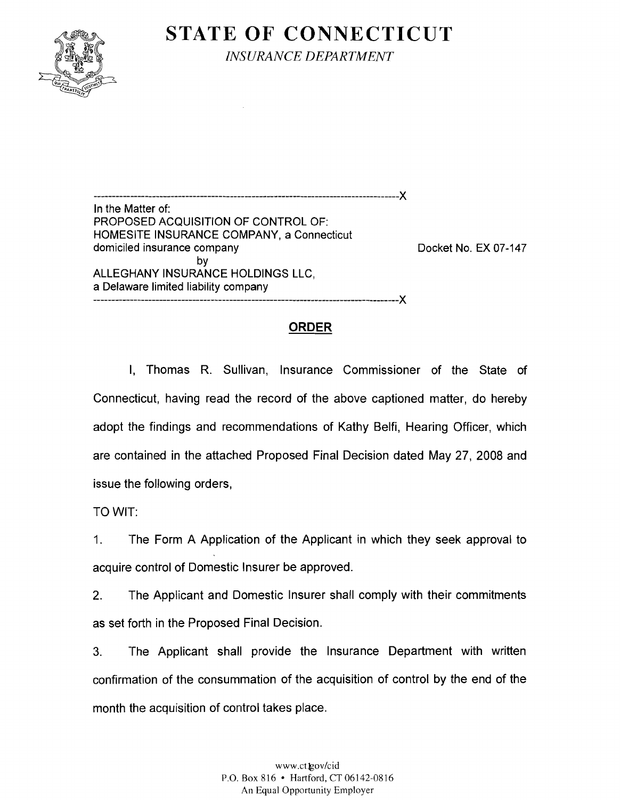

**STATE OF CONNECTICUT** 

*INSURANCE DEPARTMENT* 

----------------------------In the Matter of: PROPOSED ACQUISITION OF CONTROL OF: HOMESITE INSURANCE COMPANY, a Connecticut domiciled insurance company and the company of the Docket No. EX 07-147 by ALLEGHANY INSURANCE HOLDINGS LLC, a Delaware limited liability company -----------------------------------------------------------------------------------X

## **ORDER**

I, Thomas R. Sullivan, Insurance Commissioner of the State of Connecticut, having read the record of the above captioned matter, do hereby adopt the findings and recommendations of Kathy Belfi, Hearing Officer, which are contained in the attached Proposed Final Decision dated May 27, 2008 and issue the following orders,

TO WIT:

1. The Form A Application of the Applicant in which they seek approval to acquire control of Domestic Insurer be approved.

2. The Applicant and Domestic Insurer shall comply with their commitments as set forth in the Proposed Final Decision.

3. The Applicant shall provide the Insurance Department with written confirmation of the consummation of the acquisition of control by the end of the month the acquisition of control takes place.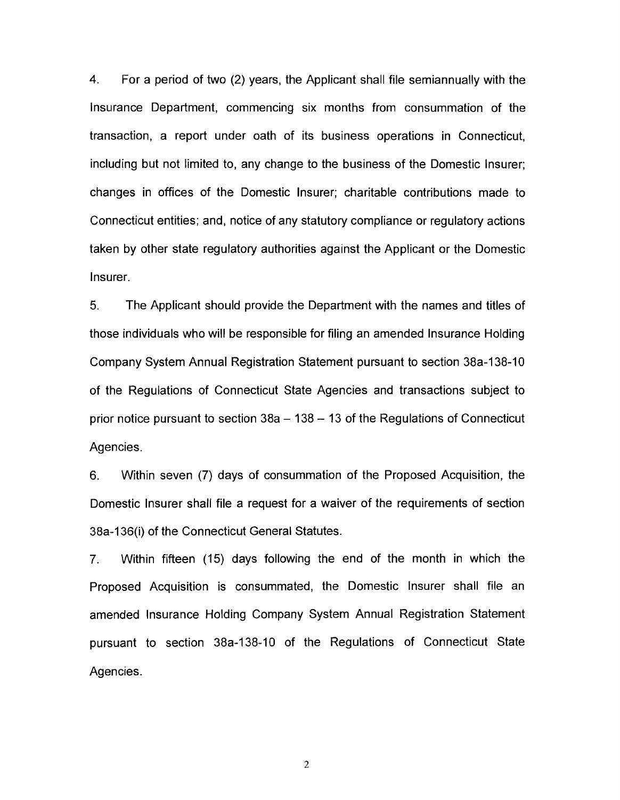4. For a period of two (2) years, the Applicant shall file semiannually with the Insurance Department, commencing six months from consummation of the transaction, a report under oath of its business operations in Connecticut, including but not limited to, any change to the business of the Domestic Insurer; changes in offices of the Domestic Insurer; charitable contributions made to Connecticut entities; and, notice of any statutory compliance or regulatory actions taken by other state regulatory authorities against the Applicant or the Domestic Insurer.

5. The Applicant should provide the Department with the names and titles of those individuals who will be responsible for filing an amended Insurance Holding Company System Annual Registration Statement pursuant to section 38a-138-1 0 of the Regulations of Connecticut State Agencies and transactions subject to prior notice pursuant to section  $38a - 138 - 13$  of the Regulations of Connecticut Agencies.

6. Within seven (7) days of consummation of the Proposed Acquisition, the Domestic Insurer shall file a request for a waiver of the requirements of section 38a-136(i) of the Connecticut General Statutes.

7. Within fifteen (15) days following the end of the month in which the Proposed Acquisition is consummated, the Domestic Insurer shall file an amended Insurance Holding Company System Annual Registration Statement pursuant to section 38a-138-10 of the Regulations of Connecticut State Agencies.

2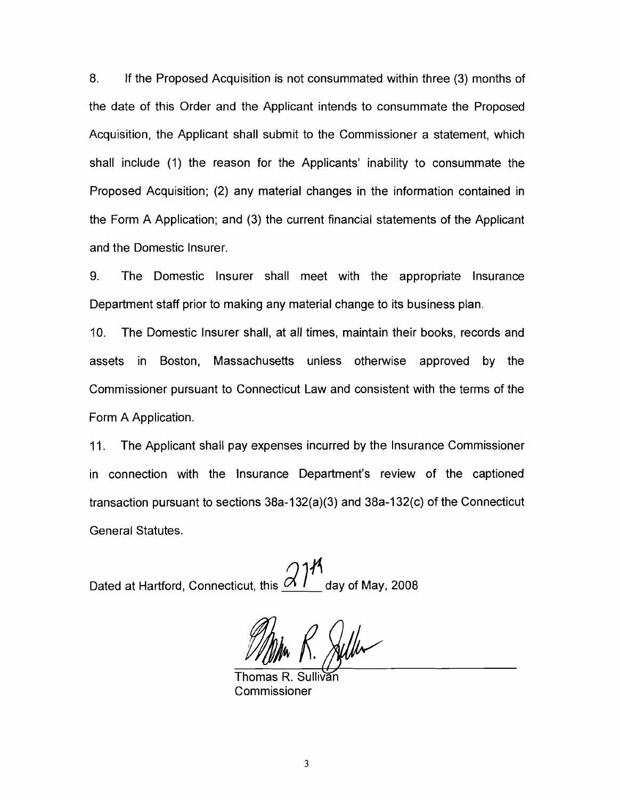8. If the Proposed Acquisition is not consummated within three (3) months of the date of this Order and the Applicant intends to consummate the Proposed Acquisition, the Applicant shall submit to the Commissioner a statement, which shall include (1) the reason for the Applicants' inability to consummate the Proposed Acquisition; (2) any material changes in the information contained in the Form A Application; and (3) the current financial statements of the Applicant and the Domestic Insurer.

9. The Domestic Insurer shall meet with the appropriate Insurance Department staff prior to making any material change to its business plan.

10. The Domestic Insurer shall, at all times, maintain their books, records and assets in Boston, Massachusetts unless otherwise approved by the Commissioner pursuant to Connecticut Law and consistent with the terms of the Form A Application.

11. The Applicant shall pay expenses incurred by the Insurance Commissioner in connection with the Insurance Department's review of the captioned transaction pursuant to sections 38a-132(a)(3) and 38a-132(c) of the Connecticut General Statutes.

Dated at Hartford, Connecticut, this  $\frac{\partial \mathcal{H}}{\partial \mathcal{H}}$  day of May, 2008

Thomas R. Sullivan

Commissioner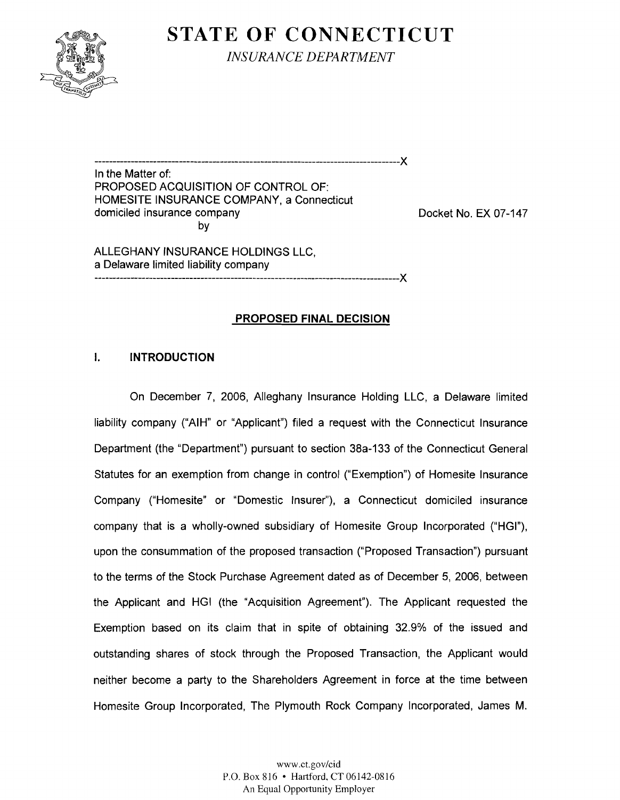

**STATE OF CONNECTICUT** 

*INSURANCE DEPARTMENT* 

-----------------------------------------------------------------------------------X

In the Matter of: PROPOSED ACQUISITION OF CONTROL OF: HOMESITE INSURANCE COMPANY, a Connecticut domiciled insurance company Docket No. EX 07-147 by

ALLEGHANY INSURANCE HOLDINGS LLC, a Delaware limited liability company -----------------------------------------------------------------------------------X

## **PROPOSED FINAL DECISION**

### **I. INTRODUCTION**

On December 7, 2006, Alleghany Insurance Holding LLC, a Delaware limited liability company ("AIH" or "Applicant") filed a request with the Connecticut Insurance Department (the "Department") pursuant to section 38a-133 of the Connecticut General Statutes for an exemption from change in control ("Exemption") of Homesite Insurance Company ("Homesite" or "Domestic Insurer"), a Connecticut domiciled insurance company that is a wholly-owned subsidiary of Homesite Group Incorporated ("HGI"), upon the consummation of the proposed transaction ("Proposed Transaction") pursuant to the terms of the Stock Purchase Agreement dated as of December 5, 2006, between the Applicant and HGI (the "Acquisition Agreement"). The Applicant requested the Exemption based on its claim that in spite of obtaining 32.9% of the issued and outstanding shares of stock through the Proposed Transaction, the Applicant would neither become a party to the Shareholders Agreement in force at the time between Homesite Group Incorporated, The Plymouth Rock Company Incorporated, James M.

> www.ct.gov/cid P.O. Box 816 • Hartford. CT 06142-0816 An Equal Opportunity Employer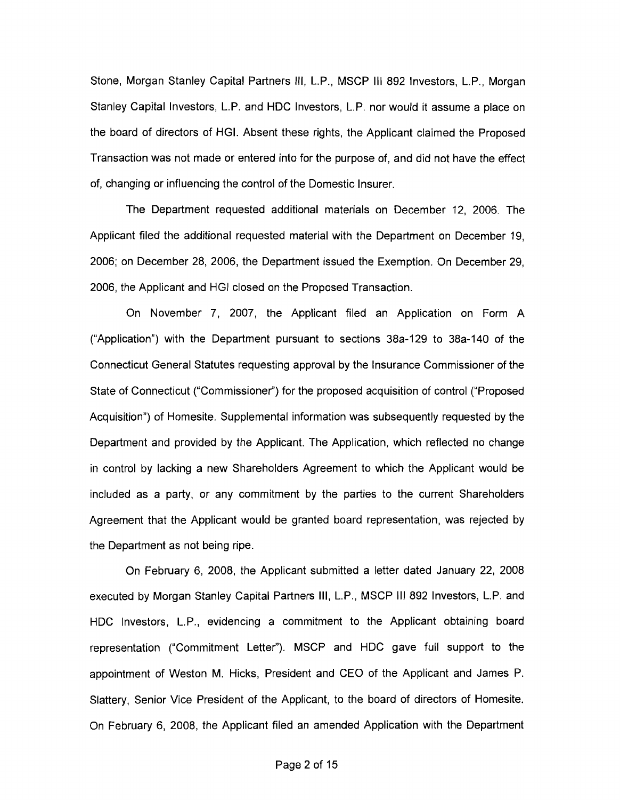Stone, Morgan Stanley Capital Partners III, L.P., MSCP III 892 Investors, L.P., Morgan Stanley Capital Investors, L.P. and HOC Investors, L.P. nor would it assume a place on the board of directors of HGI. Absent these rights, the Applicant claimed the Proposed Transaction was not made or entered into for the purpose of, and did not have the effect of, changing or influencing the control of the Domestic Insurer.

The Department requested additional materials on December 12, 2006. The Applicant filed the additional requested material with the Department on December 19, 2006; on December 28, 2006, the Department issued the Exemption. On December 29, 2006, the Applicant and HGI closed on the Proposed Transaction.

On November 7, 2007, the Applicant filed an Application on Form A ("Application") with the Department pursuant to sections 38a-129 to 38a-140 of the Connecticut General Statutes requesting approval by the Insurance Commissioner of the State of Connecticut ("Commissioner") for the proposed acquisition of control ("Proposed Acquisition") of Homesite. Supplemental information was subsequently requested by the Department and provided by the Applicant. The Application, which reflected no change in control by lacking a new Shareholders Agreement to which the Applicant would be included as a party, or any commitment by the parties to the current Shareholders Agreement that the Applicant would be granted board representation, was rejected by the Department as not being ripe.

On February 6, 2008, the Applicant submitted a letter dated January 22, 2008 executed by Morgan Stanley Capital Partners III, L.P., MSCP III 892 Investors, L.P. and HDC Investors, L.P., evidencing a commitment to the Applicant obtaining board representation ("Commitment Letter"). MSCP and HDC gave full support to the appointment of Weston M. Hicks, President and CEO of the Applicant and James P. Slattery, Senior Vice President of the Applicant, to the board of directors of Homesite. On February 6, 2008, the Applicant filed an amended Application with the Department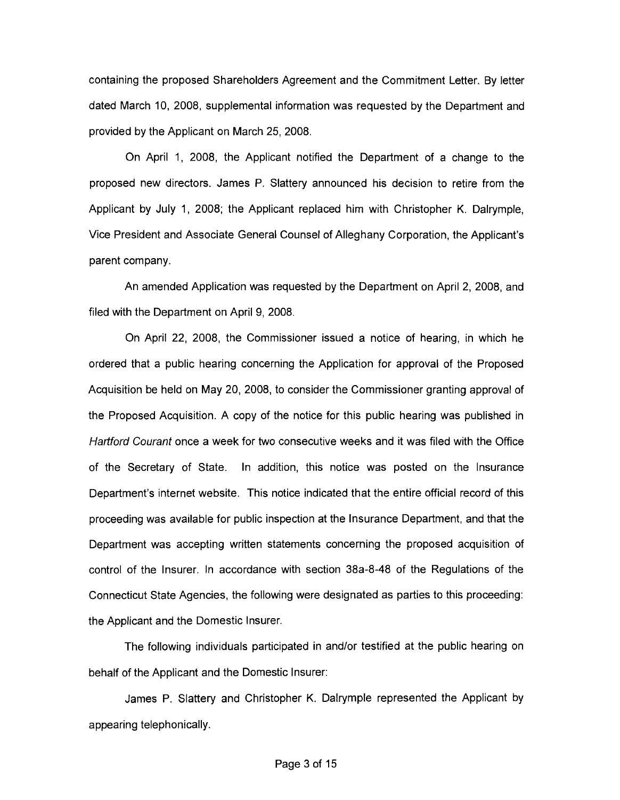containing the proposed Shareholders Agreement and the Commitment Letter. By letter dated March 10, 2008, supplemental information was requested by the Department and provided by the Applicant on March 25, 2008.

On April 1, 2008, the Applicant notified the Department of a change to the proposed new directors. James P. Slattery announced his decision to retire from the Applicant by July 1, 2008; the Applicant replaced him with Christopher K. Dalrymple, Vice President and Associate General Counsel of Alleghany Corporation, the Applicant's parent company.

An amended Application was requested by the Department on April 2, 2008, and filed with the Department on April 9, 2008.

On April 22, 2008, the Commissioner issued a notice of hearing, in which he ordered that a public hearing concerning the Application for approval of the Proposed Acquisition be held on May 20, 2008, to consider the Commissioner granting approval of the Proposed Acquisition. A copy of the notice for this public hearing was published in Hartford Courant once a week for two consecutive weeks and it was filed with the Office of the Secretary of State. In addition, this notice was posted on the Insurance Department's internet website. This notice indicated that the entire official record of this proceeding was available for public inspection at the Insurance Department, and that the Department was accepting written statements concerning the proposed acquisition of control of the Insurer. In accordance with section 38a-8-48 of the Regulations of the Connecticut State Agencies, the following were designated as parties to this proceeding: the Applicant and the Domestic Insurer.

The following individuals participated in and/or testified at the public hearing on behalf of the Applicant and the Domestic Insurer:

James P. Slattery and Christopher K. Dalrymple represented the Applicant by appearing telephonically.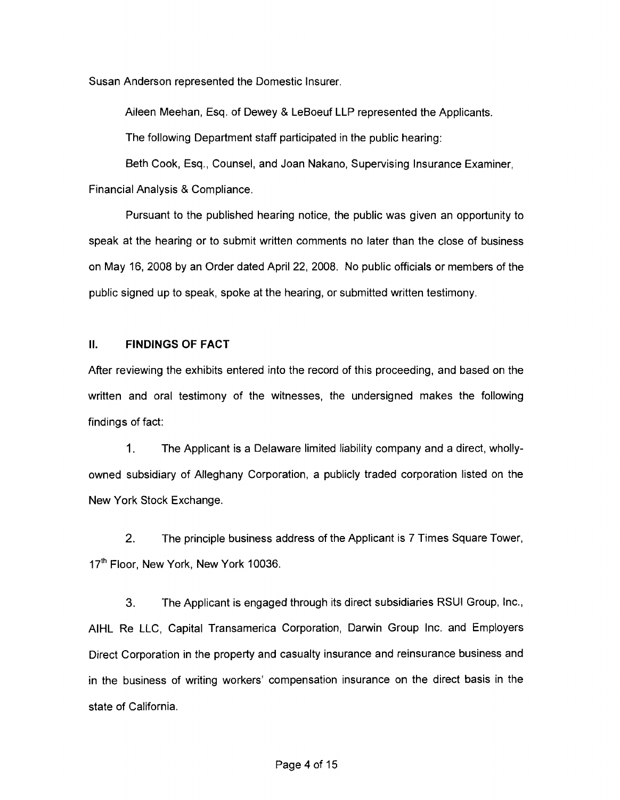Susan Anderson represented the Domestic Insurer.

Aileen Meehan, Esq. of Dewey & LeBoeuf LLP represented the Applicants.

The following Department staff participated in the public hearing:

Beth Cook, Esq., Counsel, and Joan Nakano, Supervising Insurance Examiner, Financial Analysis & Compliance.

Pursuant to the published hearing notice, the public was given an opportunity to speak at the hearing or to submit written comments no later than the close of business on May 16, 2008 by an Order dated April 22, 2008. No public officials or members of the public signed up to speak, spoke at the hearing, or submitted written testimony.

#### **II. FINDINGS OF FACT**

After reviewing the exhibits entered into the record of this proceeding, and based on the written and oral testimony of the witnesses, the undersigned makes the following findings of fact:

1. The Applicant is a Delaware limited liability company and a direct, whollyowned subsidiary of Alleghany Corporation, a publicly traded corporation listed on the New York Stock Exchange.

2. The principle business address of the Applicant is 7 Times Square Tower, 17<sup>th</sup> Floor, New York, New York 10036.

3. The Applicant is engaged through its direct subsidiaries RSUI Group, Inc., AIHL Re LLC, Capital Transamerica Corporation, Darwin Group Inc. and Employers Direct Corporation in the property and casualty insurance and reinsurance business and in the business of writing workers' compensation insurance on the direct basis in the state of California.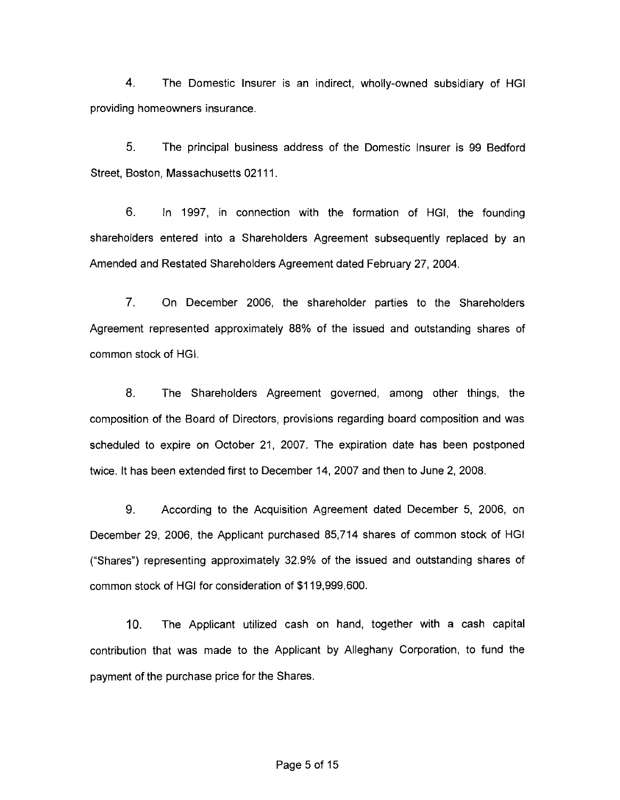4. The Domestic Insurer is an indirect, wholly-owned subsidiary of HGI providing homeowners insurance.

5. The principal business address of the Domestic Insurer is 99 Bedford Street, Boston, Massachusetts 02111.

6. In 1997, in connection with the formation of HGI, the founding shareholders entered into a Shareholders Agreement subsequently replaced by an Amended and Restated Shareholders Agreement dated February 27, 2004.

7. On December 2006, the shareholder parties to the Shareholders Agreement represented approximately 88% of the issued and outstanding shares of common stock of HGI.

8. The Shareholders Agreement governed, among other things, the composition of the Board of Directors, provisions regarding board composition and was scheduled to expire on October 21, 2007. The expiration date has been postponed twice. It has been extended first to December 14, 2007 and then to June 2, 2008.

9. According to the Acquisition Agreement dated December 5, 2006, on December 29, 2006, the Applicant purchased 85,714 shares of common stock of HGI ("Shares") representing approximately 32.9% of the issued and outstanding shares of common stock of HGI for consideration of \$119,999,600.

10. The Applicant utilized cash on hand, together with a cash capital contribution that was made to the Applicant by Alleghany Corporation, to fund the payment of the purchase price for the Shares.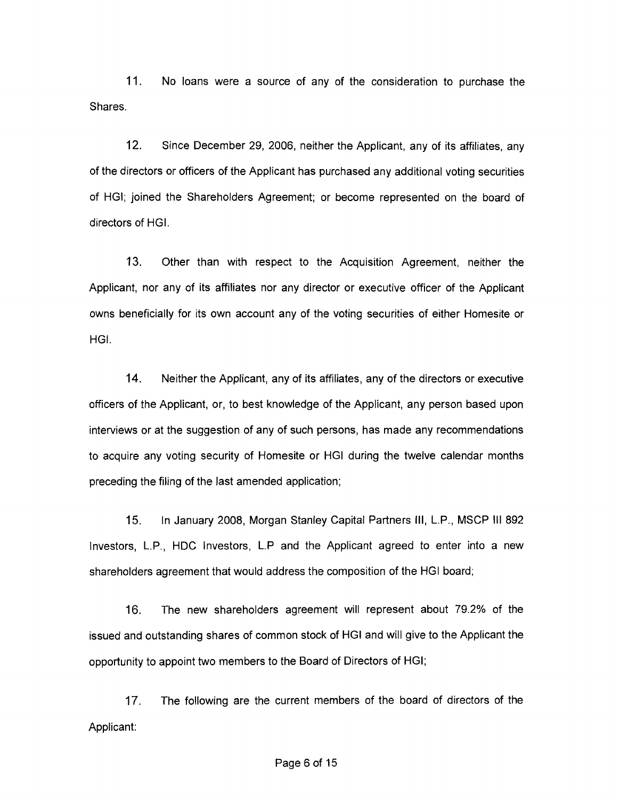11. No loans were a source of any of the consideration to purchase the Shares.

12. Since December 29, 2006, neither the Applicant, any of its affiliates, any of the directors or officers of the Applicant has purchased any additional voting securities of HGI; joined the Shareholders Agreement; or become represented on the board of directors of HGI.

13. Other than with respect to the Acquisition Agreement, neither the Applicant, nor any of its affiliates nor any director or executive officer of the Applicant owns beneficially for its own account any of the voting securities of either Homesite or HGI.

14. Neither the Applicant, any of its affiliates, any of the directors or executive officers of the Applicant, or, to best knowledge of the Applicant, any person based upon interviews or at the suggestion of any of such persons, has made any recommendations to acquire any voting security of Homesite or HGI during the twelve calendar months preceding the filing of the last amended application;

15. In January 2008, Morgan Stanley Capital Partners III, L.P., MSCP III 892 Investors, L.P., HOC Investors, L.P and the Applicant agreed to enter into a new shareholders agreement that would address the composition of the HGI board;

16. The new shareholders agreement will represent about 79.2% of the issued and outstanding shares of common stock of HGI and will give to the Applicant the opportunity to appoint two members to the Board of Directors of HGI;

17. The following are the current members of the board of directors of the Applicant: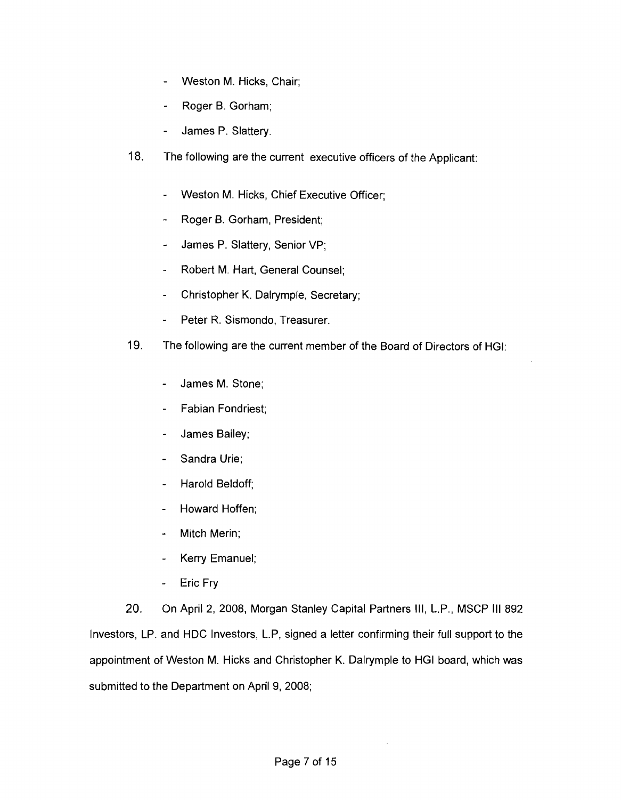- Weston M. Hicks, Chair;  $\blacksquare$
- Roger B. Gorham;
- James P. Slattery.
- 18. The following are the current executive officers of the Applicant:
	- Weston M. Hicks, Chief Executive Officer;
	- Roger B. Gorham, President;  $\ddot{ }$
	- James P. Slattery, Senior VP;
	- Robert M. Hart, General Counsel;  $\ddot{\phantom{a}}$
	- Christopher K. Dalrymple, Secretary;  $\sim$
	- Peter R. Sismondo, Treasurer.
- 19. The following are the current member of the Board of Directors of HGI:
	- James M. Stone;
	- Fabian Fondriest;  $\overline{a}$
	- James Bailey;  $\overline{a}$
	- Sandra Urie;
	- Harold Beldoff;  $\overline{a}$
	- Howard Hoffen;  $\overline{a}$
	- Mitch Merin;  $\overline{\phantom{a}}$
	- Kerry Emanuel;  $\overline{a}$
	- Eric Fry  $\ddot{\phantom{a}}$

20. On April 2, 2008, Morgan Stanley Capital Partners III, L.P., MSCP III 892 Investors, LP. and HDC Investors, L.P, signed a letter confirming their full support to the appointment of Weston M. Hicks and Christopher K. Dalrymple to HGI board, which was submitted to the Department on April 9, 2008;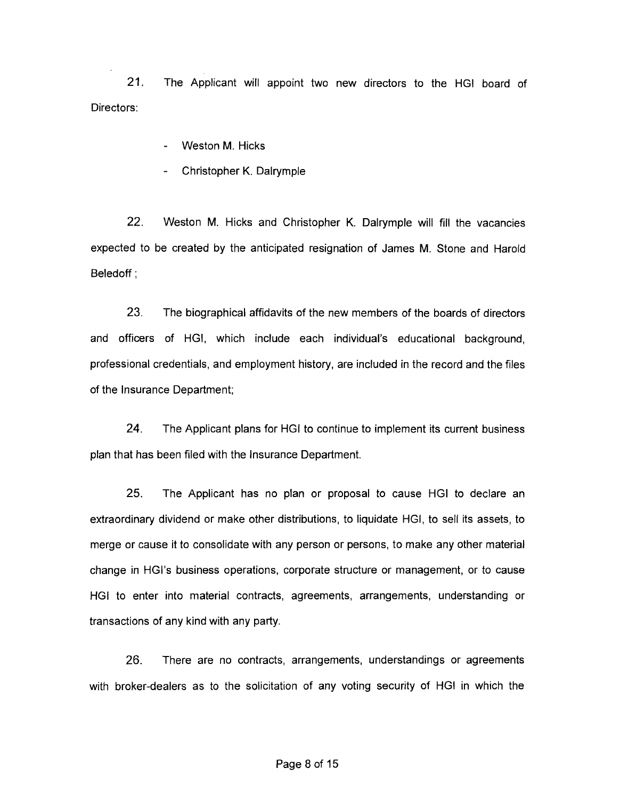21. The Applicant will appoint two new directors to the HGI board of Directors:

- Weston M. Hicks
- Christopher K. Dalrymple

22. Weston M. Hicks and Christopher K. Dalrymple will fill the vacancies expected to be created by the anticipated resignation of James M. Stone and Harold Beledoff ;

23. The biographical affidavits of the new members of the boards of directors and officers of HGI, which include each individual's educational background, professional credentials, and employment history, are included in the record and the files of the Insurance Department;

24. The Applicant plans for HGI to continue to implement its current business plan that has been filed with the Insurance Department.

25. The Applicant has no plan or proposal to cause HGI to declare an extraordinary dividend or make other distributions, to liquidate HGI, to sell its assets, to merge or cause it to consolidate with any person or persons, to make any other material change in HGI's business operations, corporate structure or management, or to cause HGI to enter into material contracts, agreements, arrangements, understanding or transactions of any kind with any party.

26. There are no contracts, arrangements, understandings or agreements with broker-dealers as to the solicitation of any voting security of HGI in which the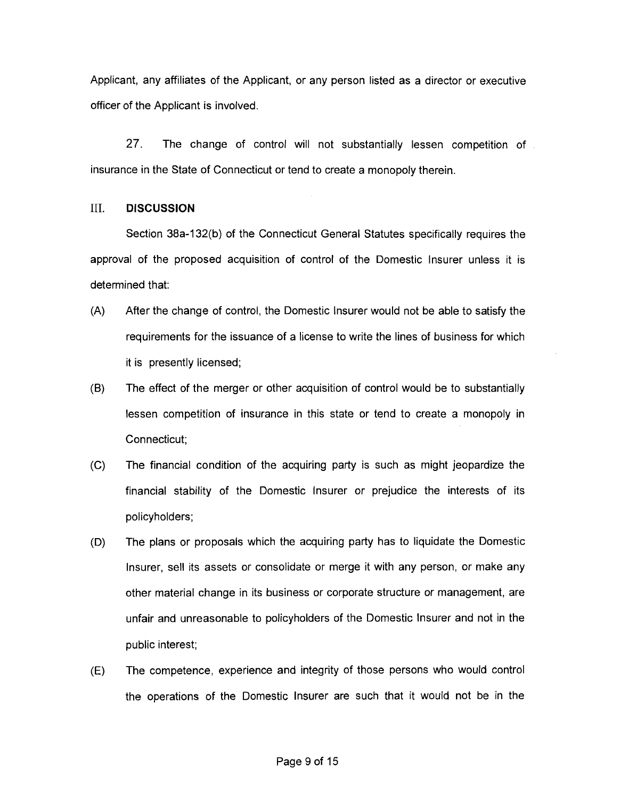Applicant, any affiliates of the Applicant, or any person listed as a director or executive officer of the Applicant is involved.

27. The change of control will not substantially lessen competition of insurance in the State of Connecticut or tend to create a monopoly therein.

#### III. **DISCUSSION**

Section 38a-132(b) of the Connecticut General Statutes specifically requires the approval of the proposed acquisition of control of the Domestic Insurer unless it is determined that:

- (A) After the change of control, the Domestic Insurer would not be able to satisfy the requirements for the issuance of a license to write the lines of business for which it is presently licensed;
- (8) The effect of the merger or other acquisition of control would be to substantially lessen competition of insurance in this state or tend to create a monopoly in Connecticut;
- (C) The financial condition of the acquiring party is such as might jeopardize the financial stability of the Domestic Insurer or prejudice the interests of its policyholders;
- (D) The plans or proposals which the acquiring party has to liquidate the Domestic Insurer, sell its assets or consolidate or merge it with any person, or make any other material change in its business or corporate structure or management, are unfair and unreasonable to policyholders of the Domestic Insurer and not in the public interest;
- (E) The competence, experience and integrity of those persons who would control the operations of the Domestic Insurer are such that it would not be in the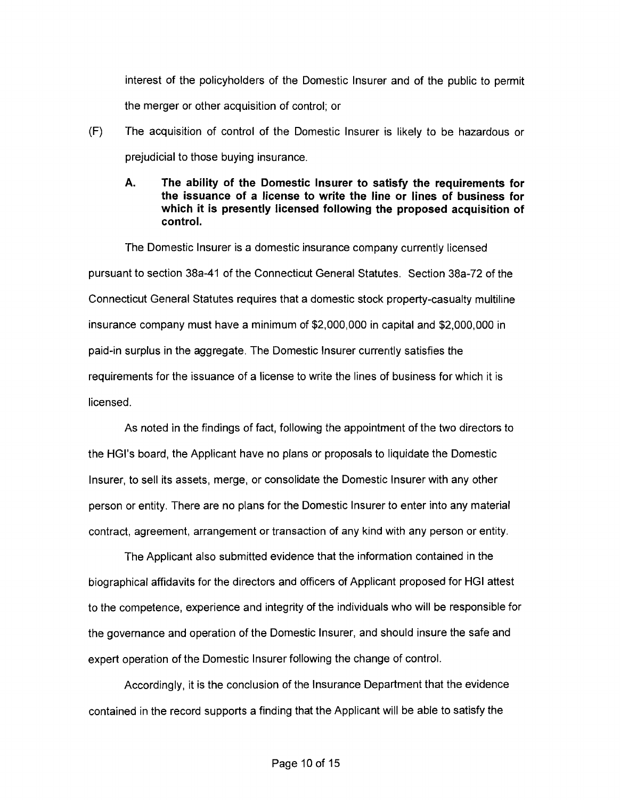interest of the policyholders of the Domestic Insurer and of the public to permit the merger or other acquisition of control; or

- (F) The acquisition of control of the Domestic Insurer is likely to be hazardous or prejudicial to those buying insurance.
	- **A. The ability of the Domestic Insurer to satisfy the requirements for the issuance of a license to write the line or lines of business for which it is presently licensed following the proposed acquisition of control.**

The Domestic Insurer is a domestic insurance company currently licensed pursuant to section 38a-41 of the Connecticut General Statutes. Section 38a-72 of the Connecticut General Statutes requires that a domestic stock property-casualty multiline insurance company must have a minimum of \$2,000,000 in capital and \$2,000,000 in paid-in surplus in the aggregate. The Domestic Insurer currently satisfies the requirements for the issuance of a license to write the lines of business for which it is licensed.

As noted in the findings of fact, following the appointment of the two directors to the HGl's board, the Applicant have no plans or proposals to liquidate the Domestic Insurer, to sell its assets, merge, or consolidate the Domestic Insurer with any other person or entity. There are no plans for the Domestic Insurer to enter into any material contract, agreement, arrangement or transaction of any kind with any person or entity.

The Applicant also submitted evidence that the information contained in the biographical affidavits for the directors and officers of Applicant proposed for **HGI** attest to the competence, experience and integrity of the individuals who will be responsible for the governance and operation of the Domestic Insurer, and should insure the safe and expert operation of the Domestic Insurer following the change of control.

Accordingly, it is the conclusion of the Insurance Department that the evidence contained in the record supports a finding that the Applicant will be able to satisfy the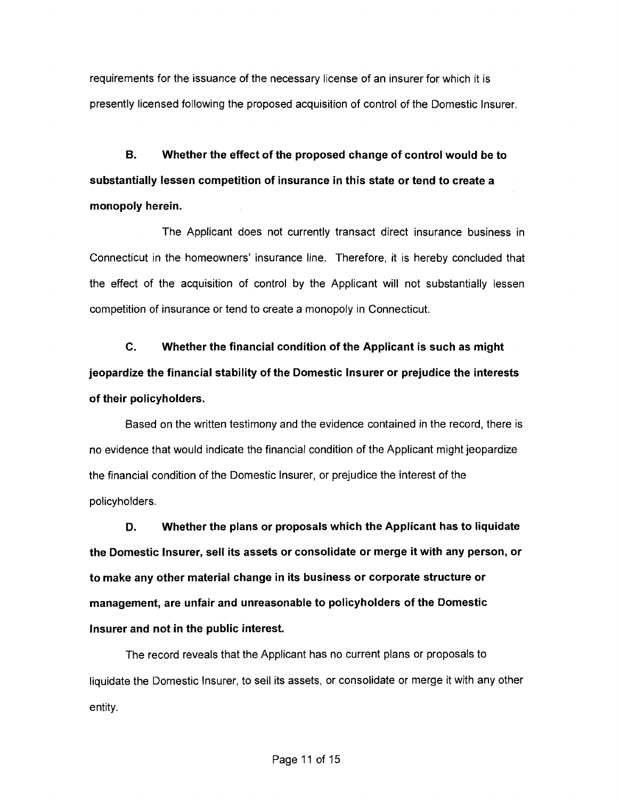requirements for the issuance of the necessary license of an insurer for which it is presently licensed following the proposed acquisition of control of the Domestic Insurer.

B. Whether the effect of the proposed change of control would be to substantially lessen competition of insurance in this state or tend to create a monopoly herein.

The Applicant does not currently transact direct insurance business in Connecticut in the homeowners' insurance line. Therefore, it is hereby concluded that the effect of the acquisition of control by the Applicant will not substantially lessen competition of insurance or tend to create a monopoly in Connecticut.

c. Whether the financial condition of the Applicant is such as might jeopardize the financial stability of the Domestic Insurer or prejudice the interests of their policyholders.

Based on the written testimony and the evidence contained in the record, there is no evidence that would indicate the financial condition of the Applicant might jeopardize the financial condition of the Domestic Insurer, or prejudice the interest of the policyholders.

D. Whether the plans or proposals which the Applicant has to liquidate the Domestic Insurer, sell its assets or consolidate or merge it with any person, or to make any other material change in its business or corporate structure or management, are unfair and unreasonable to policyholders of the Domestic Insurer and not in the public interest.

The record reveals that the Applicant has no current plans or proposals to liquidate the Domestic Insurer, to sell its assets, or consolidate or merge it with any other entity.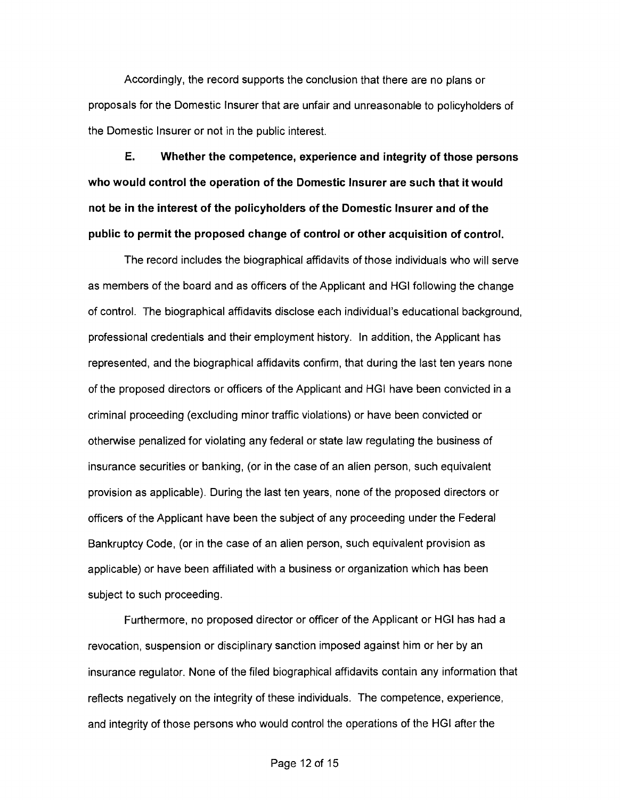Accordingly, the record supports the conclusion that there are no plans or proposals for the Domestic Insurer that are unfair and unreasonable to policyholders of the Domestic Insurer or not in the public interest.

**E. Whether the competence, experience and integrity of those persons who would control the operation of the Domestic Insurer are such that it would not be in the interest of the policyholders of the Domestic Insurer and of the public to permit the proposed change of control or other acquisition of control.** 

The record includes the biographical affidavits of those individuals who will serve as members of the board and as officers of the Applicant and HGI following the change of control. The biographical affidavits disclose each individual's educational background, professional credentials and their employment history. In addition, the Applicant has represented, and the biographical affidavits confirm, that during the last ten years none of the proposed directors or officers of the Applicant and HGI have been convicted in a criminal proceeding (excluding minor traffic violations) or have been convicted or otherwise penalized for violating any federal or state law regulating the business of insurance securities or banking, (or in the case of an alien person, such equivalent provision as applicable). During the last ten years, none of the proposed directors or officers of the Applicant have been the subject of any proceeding under the Federal Bankruptcy Code, (or in the case of an alien person, such equivalent provision as applicable) or have been affiliated with a business or organization which has been subject to such proceeding.

Furthermore, no proposed director or officer of the Applicant or HGI has had a revocation, suspension or disciplinary sanction imposed against him or her by an insurance regulator. None of the filed biographical affidavits contain any information that reflects negatively on the integrity of these individuals. The competence, experience, and integrity of those persons who would control the operations of the HGI after the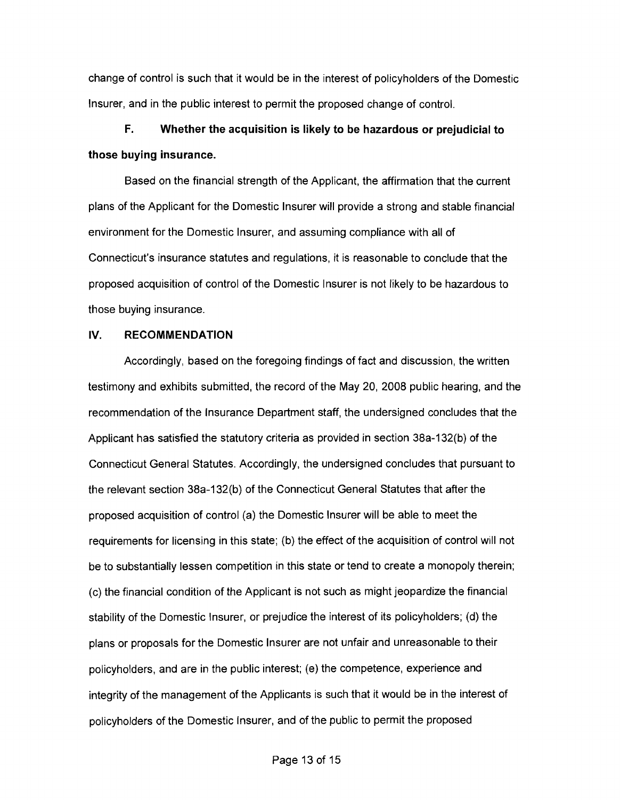change of control is such that it would be in the interest of policyholders of the Domestic Insurer, and in the public interest to permit the proposed change of control.

# **F. Whether the acquisition is likely to be hazardous or prejudicial to those buying insurance.**

Based on the financial strength of the Applicant, the affirmation that the current plans of the Applicant for the Domestic Insurer will provide a strong and stable financial environment for the Domestic Insurer, and assuming compliance with all of Connecticut's insurance statutes and regulations, it is reasonable to conclude that the proposed acquisition of control of the Domestic Insurer is not likely to be hazardous to those buying insurance.

#### **IV. RECOMMENDATION**

Accordingly, based on the foregoing findings of fact and discussion, the written testimony and exhibits submitted, the record of the May 20, 2008 public hearing, and the recommendation of the Insurance Department staff, the undersigned concludes that the Applicant has satisfied the statutory criteria as provided in section 38a-132(b) of the Connecticut General Statutes. Accordingly, the undersigned concludes that pursuant to the relevant section 38a-132(b) of the Connecticut General Statutes that after the proposed acquisition of control (a) the Domestic Insurer will be able to meet the requirements for licensing in this state; (b) the effect of the acquisition of control will not be to substantially lessen competition in this state or tend to create a monopoly therein; (c) the financial condition of the Applicant is not such as might jeopardize the financial stability of the Domestic Insurer, or prejudice the interest of its policyholders; (d) the plans or proposals for the Domestic Insurer are not unfair and unreasonable to their policyholders, and are in the public interest; (e) the competence, experience and integrity of the management of the Applicants is such that it would be in the interest of policyholders of the Domestic Insurer, and of the public to permit the proposed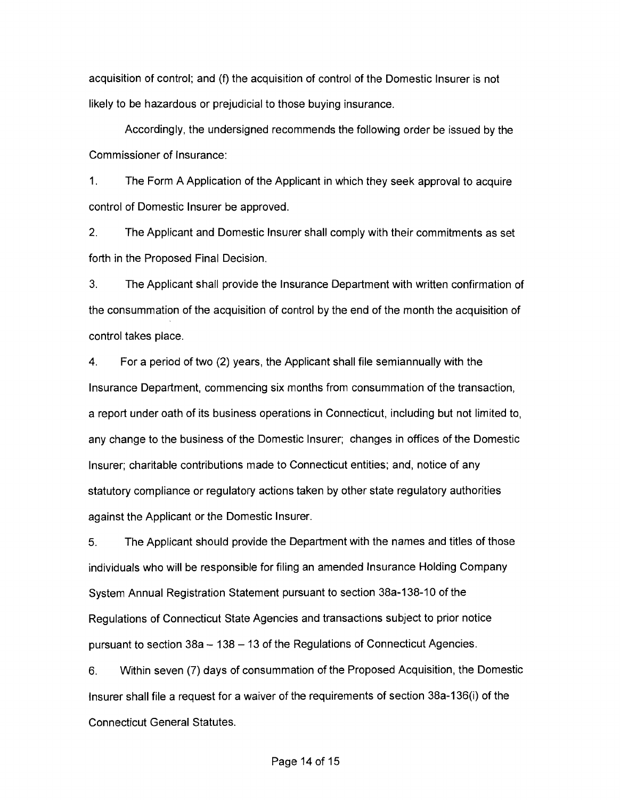acquisition of control; and (f) the acquisition of control of the Domestic Insurer is not likely to be hazardous or prejudicial to those buying insurance.

Accordingly, the undersigned recommends the following order be issued by the Commissioner of Insurance:

1. The Form A Application of the Applicant in which they seek approval to acquire control of Domestic Insurer be approved.

2. The Applicant and Domestic Insurer shall comply with their commitments as set forth in the Proposed Final Decision.

3. The Applicant shall provide the Insurance Department with written confirmation of the consummation of the acquisition of control by the end of the month the acquisition of control takes place.

4. For a period of two (2) years, the Applicant shall file semiannually with the Insurance Department, commencing six months from consummation of the transaction, a report under oath of its business operations in Connecticut, including but not limited to, any change to the business of the Domestic Insurer; changes in offices of the Domestic Insurer; charitable contributions made to Connecticut entities; and, notice of any statutory compliance or regulatory actions taken by other state regulatory authorities against the Applicant or the Domestic Insurer.

5. The Applicant should provide the Department with the names and titles of those individuals who will be responsible for filing an amended Insurance Holding Company System Annual Registration Statement pursuant to section 38a-138-1 0 of the Regulations of Connecticut State Agencies and transactions subject to prior notice pursuant to section  $38a - 138 - 13$  of the Regulations of Connecticut Agencies.

6. Within seven (7) days of consummation of the Proposed Acquisition, the Domestic Insurer shall file a request for a waiver of the requirements of section 38a-136(i) of the Connecticut General Statutes.